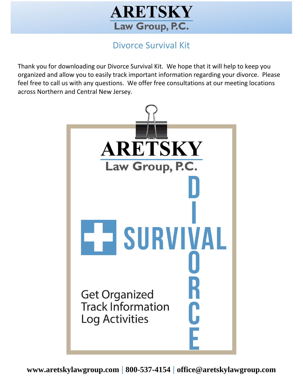

# Divorce Survival Kit

Thank you for downloading our Divorce Survival Kit. We hope that it will help to keep you organized and allow you to easily track important information regarding your divorce. Please feel free to call us with any questions. We offer free consultations at our meeting locations across Northern and Central New Jersey.

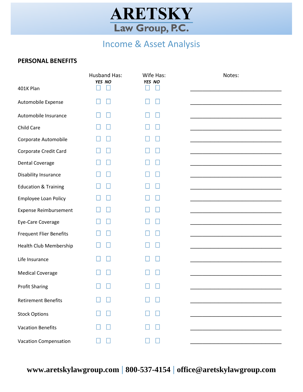

# Income & Asset Analysis

### **PERSONAL BENEFITS**

|                                 | <b>Husband Has:</b><br>YES NO | Wife Has:<br>YES NO | Notes: |
|---------------------------------|-------------------------------|---------------------|--------|
| 401K Plan                       |                               |                     |        |
| Automobile Expense              |                               |                     |        |
| Automobile Insurance            |                               |                     |        |
| Child Care                      |                               |                     |        |
| Corporate Automobile            |                               |                     |        |
| Corporate Credit Card           |                               |                     |        |
| Dental Coverage                 |                               |                     |        |
| Disability Insurance            |                               |                     |        |
| <b>Education &amp; Training</b> |                               |                     |        |
| Employee Loan Policy            |                               |                     |        |
| <b>Expense Reimbursement</b>    |                               |                     |        |
| Eye-Care Coverage               |                               |                     |        |
| <b>Frequent Flier Benefits</b>  |                               |                     |        |
| Health Club Membership          |                               |                     |        |
| Life Insurance                  |                               |                     |        |
| <b>Medical Coverage</b>         |                               |                     |        |
| <b>Profit Sharing</b>           |                               |                     |        |
| <b>Retirement Benefits</b>      |                               |                     |        |
| <b>Stock Options</b>            |                               |                     |        |
| <b>Vacation Benefits</b>        |                               |                     |        |
| <b>Vacation Compensation</b>    |                               |                     |        |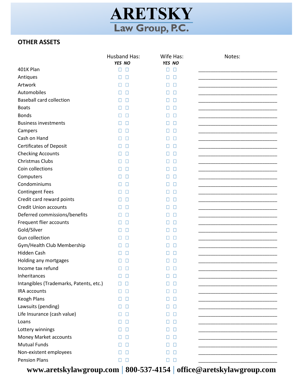

## **OTHER ASSETS**

|                                                | <b>Husband Has:</b> | Wife Has:             | Notes:                                                                                                                |
|------------------------------------------------|---------------------|-----------------------|-----------------------------------------------------------------------------------------------------------------------|
| 401K Plan                                      | YES NO<br>П<br>Н    | YES NO<br>$\Box$<br>□ |                                                                                                                       |
|                                                |                     |                       |                                                                                                                       |
| Antiques<br>Artwork                            | Н<br>Ш              | □<br>П<br>$\Box$      |                                                                                                                       |
|                                                | П<br>Ш              | □                     |                                                                                                                       |
| Automobiles<br><b>Baseball card collection</b> | П<br>П              | □<br>П                |                                                                                                                       |
| <b>Boats</b>                                   | П                   | П<br>П<br>$\Box$      |                                                                                                                       |
| <b>Bonds</b>                                   |                     | Ш                     |                                                                                                                       |
| <b>Business investments</b>                    |                     | □<br>Ш<br>□           |                                                                                                                       |
|                                                | Н                   | H<br>□<br>П           |                                                                                                                       |
| Campers<br>Cash on Hand                        | П<br>П              | □<br>П                |                                                                                                                       |
| <b>Certificates of Deposit</b>                 | П                   | $\Box$<br>П           |                                                                                                                       |
| <b>Checking Accounts</b>                       | П                   | П<br>П                |                                                                                                                       |
| Christmas Clubs                                | П<br>Н              | □<br>П                |                                                                                                                       |
| Coin collections                               |                     | □<br>П                |                                                                                                                       |
| Computers                                      |                     | □<br>H                | <u> 1989 - Johann Barbara, martin amerikan basar dan berasal dan berasal dalam basar dalam basar dalam basar dala</u> |
| Condominiums                                   | П                   | □<br>П                |                                                                                                                       |
| <b>Contingent Fees</b>                         | П<br>Ш              | П<br>П                |                                                                                                                       |
| Credit card reward points                      | П                   | $\Box$<br>Ш           |                                                                                                                       |
| <b>Credit Union accounts</b>                   | П<br>Ш              | П<br>Ш                |                                                                                                                       |
| Deferred commissions/benefits                  | П<br>Н              | □<br>П                |                                                                                                                       |
| Frequent flier accounts                        |                     | □<br>П                |                                                                                                                       |
| Gold/Silver                                    | Н                   | П<br>Ш                |                                                                                                                       |
| Gun collection                                 | Ш<br>Ш              | П<br>◧                |                                                                                                                       |
| Gym/Health Club Membership                     | П<br>Ш              | П<br>П                |                                                                                                                       |
| Hidden Cash                                    | П                   | □<br>Н                |                                                                                                                       |
| Holding any mortgages                          |                     | □<br>Ш                |                                                                                                                       |
| Income tax refund                              | П                   | □<br>П                |                                                                                                                       |
| Inheritances                                   | $\Box$              | $\Box$                |                                                                                                                       |
| Intangibles (Trademarks, Patents, etc.)        | П<br>H              | □<br>Н                |                                                                                                                       |
| IRA accounts                                   | Ш<br>Н              | □<br>Н                |                                                                                                                       |
| <b>Keogh Plans</b>                             | Н                   | $\Box$<br>⊔           |                                                                                                                       |
| Lawsuits (pending)                             | П<br>Н              | ⊔<br>Ш                |                                                                                                                       |
| Life Insurance (cash value)                    | $\perp$             | П<br>П                |                                                                                                                       |
| Loans                                          |                     | П<br>Ш                | _______________________________                                                                                       |
| Lottery winnings                               |                     | H<br>П                |                                                                                                                       |
| Money Market accounts                          |                     | $\Box$<br>H           |                                                                                                                       |
| <b>Mutual Funds</b>                            |                     | Н<br>$\Box$           |                                                                                                                       |
| Non-existent employees                         | Н                   | П<br>H                |                                                                                                                       |
| <b>Pension Plans</b>                           | $\Box$<br>П         | $\Box$<br>$\Box$      |                                                                                                                       |
| - 4 - 1 -<br>. . <b>1</b> .                    |                     |                       | $Q_1, \ldots, A_n$ . $I_{n-1}$ , $\ldots$ , $\ldots$                                                                  |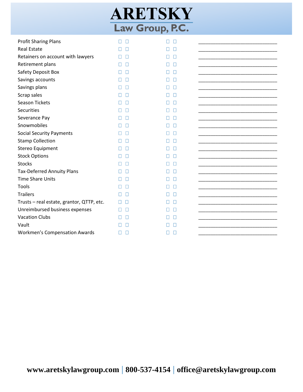| ARETSKY         |  |  |
|-----------------|--|--|
| Law Group, P.C. |  |  |

| <b>Profit Sharing Plans</b>               | П<br>П | П<br>П            |  |
|-------------------------------------------|--------|-------------------|--|
| <b>Real Estate</b>                        |        |                   |  |
| Retainers on account with lawyers         |        | П                 |  |
| Retirement plans                          | Н<br>Н | Л<br>П            |  |
| Safety Deposit Box                        |        | П<br>Н            |  |
| Savings accounts                          |        |                   |  |
| Savings plans                             |        |                   |  |
| Scrap sales                               |        |                   |  |
| <b>Season Tickets</b>                     |        | $\mathbf{L}$<br>Н |  |
| Securities                                |        |                   |  |
| Severance Pay                             |        | Ш                 |  |
| Snowmobiles                               |        | Н                 |  |
| <b>Social Security Payments</b>           |        | □<br>Н            |  |
| <b>Stamp Collection</b>                   |        | П<br>$\mathsf{L}$ |  |
| Stereo Equipment                          |        | Ш                 |  |
| <b>Stock Options</b>                      |        | П<br>Н            |  |
| <b>Stocks</b>                             |        |                   |  |
| <b>Tax-Deferred Annuity Plans</b>         |        | П<br>$\mathsf{L}$ |  |
| <b>Time Share Units</b>                   |        | Ш                 |  |
| Tools                                     |        | П                 |  |
| <b>Trailers</b>                           |        | Л                 |  |
| Trusts - real estate, grantor, QTTP, etc. |        | Л<br>Н            |  |
| Unreimbursed business expenses            |        |                   |  |
| <b>Vacation Clubs</b>                     |        |                   |  |
| Vault                                     |        |                   |  |
| <b>Workmen's Compensation Awards</b>      | Ш<br>Н | Л                 |  |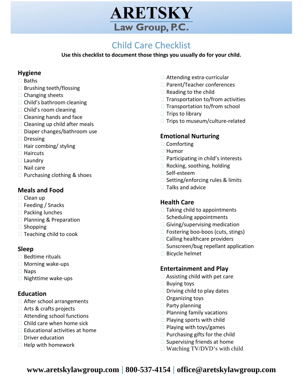

#### **TICCKIISC** Child Care Checklist

Use this checklist to document those things you usually do for your child.

### **Hygiene**

- **□ Baths**
- $\square$  Brushing teeth/flossing
- $\Box$  Changing sheets
- $\Box$  Child's bathroom cleaning
- $\Box$  Child's room cleaning
- $\Box$  Cleaning hands and face
- $\Box$  Cleaning up child after meals
- □ Diaper changes/bathroom use
- **□** Dressing
- $\Box$  Hair combing/ styling
- $\Box$  Haircuts
- $\Box$  Laundry
- $\Box$  Nail care
- $\Box$  Purchasing clothing & shoes

## **Meals and Food**

- $\Box$  Clean up
- $\Box$  Feeding / Snacks
- $\Box$  Packing lunches
- **□ Planning & Preparation**
- $\square$  Shopping
- $\Box$  Teaching child to cook

### **Sleep**

- $\square$  Bedtime rituals
- $\Box$  Morning wake-ups
- $\Box$  Naps
- $\Box$  Nighttime wake-ups

### **Education**

- □ After school arrangements
- $\Box$  Arts & crafts projects
- $\Box$  Attending school functions
- $\Box$  Child care when home sick
- $\Box$  Educational activities at home
- $\square$  Driver education
- $\Box$  Help with homework
- $\Box$  Attending extra-curricular
- □ Parent/Teacher conferences
- $\Box$  Reading to the child
- $\Box$  Transportation to/from activities
- $\Box$  Transportation to/from school
- $\Box$  Trips to library
- $\Box$  Trips to museum/culture-related

### **Emotional Nurturing**

- **□ Comforting**
- □ Humor
- $\Box$  Participating in child's interests
- □ Rocking, soothing, holding
- □ Self-esteem
- $\Box$  Setting/enforcing rules & limits
- $\Box$  Talks and advice

### **Health Care**

- $\Box$  Taking child to appointments
- $\Box$  Scheduling appointments
- $\Box$  Giving/supervising medication
- $\Box$  Fostering boo-boos (cuts, stings)
- $\Box$  Calling healthcare providers
- $\square$  Sunscreen/bug repellant application
- □ Bicycle helmet

### **Entertainment and Play**

- $\Box$  Assisting child with pet care
- $\Box$  Buying toys
- $\Box$  Driving child to play dates
- $\Box$  Organizing toys
- $\Box$  Party planning
- $\Box$  Planning family vacations
- $\Box$  Playing sports with child
- $\Box$  Playing with toys/games
- $\Box$  Purchasing gifts for the child
- $\Box$  Supervising friends at home
- $\Box$  Watching TV/DVD's with child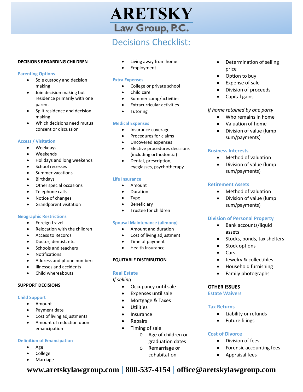# ARETSKY Law Group, P.C.

# Decisions Checklist:

#### **DECISIONS REGARDING CHILDREN**

#### **Parenting Options**

- Sole custody and decision making
- Join decision making but residence primarily with one parent
- Split residence and decision making
- Which decisions need mutual consent or discussion

#### **Access / Visitation**

- Weekdays
- Weekends
- Holidays and long weekends
- School recesses
- Summer vacations
- **Birthdays**
- Other special occasions
- Telephone calls
- Notice of changes
- Grandparent visitation

#### **Geographic Restrictions**

- Foreign travel
- Relocation with the children
- Access to Records
- Doctor, dentist, etc.
- Schools and teachers
- Notifications
- Address and phone numbers
- Illnesses and accidents
- Child whereabouts

#### **SUPPORT DECISIONS**

#### **Child Support**

- Amount
- Payment date
- Cost of living adjustments
- Amount of reduction upon emancipation

#### **Definition of Emancipation**

- Age
- College
- **Marriage**
- Living away from home
- **Employment**

#### **Extra Expenses**

- College or private school
- Child care
- Summer camp/activities
- Extracurricular activities
- **Tutoring**

#### **Medical Expenses**

- Insurance coverage
- Procedures for claims
- Uncovered expenses
- Elective procedures decisions (including orthodontia)
- Dental, prescription, eyeglasses, psychotherapy

#### **Life Insurance**

- Amount
- **Duration**
- Type
- **Beneficiary**
- Trustee for children

#### **Spousal Maintenance (alimony)**

- Amount and duration
- Cost of living adjustment
- Time of payment
- Health Insurance

#### **EQUITABLE DISTRIBUTION**

#### **Real Estate**

#### *If selling*

- Occupancy until sale
- Expenses until sale
- Mortgage & Taxes
- **Utilities**
- **Insurance**
- **Repairs**
- Timing of sale
	- o Age of children or graduation dates
	- o Remarriage or cohabitation

**www.aretskylawgroup.com | 800-537-4154 | office@aretskylawgroup.com**

- Determination of selling price
- Option to buy
- Expense of sale
- Division of proceeds
- Capital gains

#### *If home retained by one party*

- Who remains in home
- Valuation of home
- Division of value (lump sum/payments)

#### **Business Interests**

- Method of valuation
- Division of value (lump sum/payments)

#### **Retirement Assets**

- Method of valuation
- Division of value (lump sum/payments)

#### **Division of Personal Property**

- Bank accounts/liquid assets
- Stocks, bonds, tax shelters
- Stock options
- Cars
- Jewelry & collectibles
- Household furnishing

Liability or refunds

Forensic accounting fees

• Future filings

• Division of fees

• Appraisal fees

• Family photographs

#### **OTHER ISSUES Estate Waivers**

**Tax Returns**

**Cost of Divorce**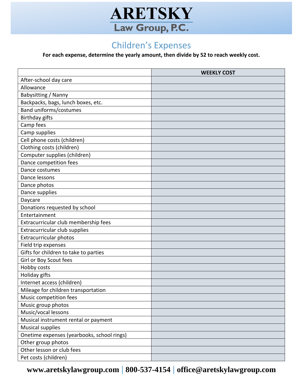

# Children's Expenses

**For each expense, determine the yearly amount, then divide by 52 to reach weekly cost.**

|                                            | <b>WEEKLY COST</b> |
|--------------------------------------------|--------------------|
| After-school day care                      |                    |
| Allowance                                  |                    |
| Babysitting / Nanny                        |                    |
| Backpacks, bags, lunch boxes, etc.         |                    |
| Band uniforms/costumes                     |                    |
| <b>Birthday gifts</b>                      |                    |
| Camp fees                                  |                    |
| Camp supplies                              |                    |
| Cell phone costs (children)                |                    |
| Clothing costs (children)                  |                    |
| Computer supplies (children)               |                    |
| Dance competition fees                     |                    |
| Dance costumes                             |                    |
| Dance lessons                              |                    |
| Dance photos                               |                    |
| Dance supplies                             |                    |
| Daycare                                    |                    |
| Donations requested by school              |                    |
| Entertainment                              |                    |
| Extracurricular club membership fees       |                    |
| Extracurricular club supplies              |                    |
| Extracurricular photos                     |                    |
| Field trip expenses                        |                    |
| Gifts for children to take to parties      |                    |
| Girl or Boy Scout fees                     |                    |
| Hobby costs                                |                    |
| Holiday gifts                              |                    |
| Internet access (children)                 |                    |
| Mileage for children transportation        |                    |
| Music competition fees                     |                    |
| Music group photos                         |                    |
| Music/vocal lessons                        |                    |
| Musical instrument rental or payment       |                    |
| <b>Musical supplies</b>                    |                    |
| Onetime expenses (yearbooks, school rings) |                    |
| Other group photos                         |                    |
| Other lesson or club fees                  |                    |
| Pet costs (children)                       |                    |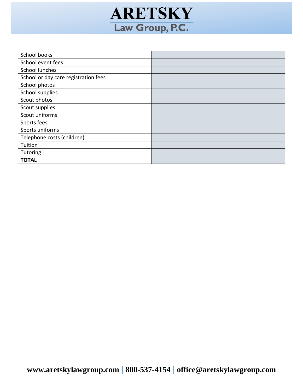

| School books                         |  |
|--------------------------------------|--|
| School event fees                    |  |
| <b>School lunches</b>                |  |
| School or day care registration fees |  |
| School photos                        |  |
| School supplies                      |  |
| Scout photos                         |  |
| Scout supplies                       |  |
| Scout uniforms                       |  |
| Sports fees                          |  |
| Sports uniforms                      |  |
| Telephone costs (children)           |  |
| Tuition                              |  |
| Tutoring                             |  |
| <b>TOTAL</b>                         |  |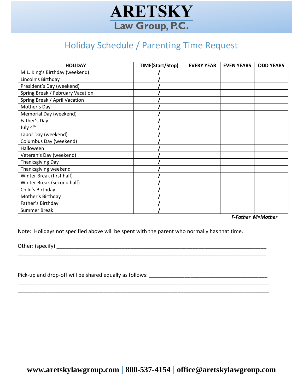

# Holiday Schedule / Parenting Time Request

| <b>HOLIDAY</b>                   | TIME(Start/Stop) | <b>EVERY YEAR</b> | <b>EVEN YEARS</b> | <b>ODD YEARS</b> |
|----------------------------------|------------------|-------------------|-------------------|------------------|
| M.L. King's Birthday (weekend)   |                  |                   |                   |                  |
| Lincoln's Birthday               |                  |                   |                   |                  |
| President's Day (weekend)        |                  |                   |                   |                  |
| Spring Break / February Vacation |                  |                   |                   |                  |
| Spring Break / April Vacation    |                  |                   |                   |                  |
| Mother's Day                     |                  |                   |                   |                  |
| Memorial Day (weekend)           |                  |                   |                   |                  |
| Father's Day                     |                  |                   |                   |                  |
| July 4 <sup>th</sup>             |                  |                   |                   |                  |
| Labor Day (weekend)              |                  |                   |                   |                  |
| Columbus Day (weekend)           |                  |                   |                   |                  |
| Halloween                        |                  |                   |                   |                  |
| Veteran's Day (weekend)          |                  |                   |                   |                  |
| <b>Thanksgiving Day</b>          |                  |                   |                   |                  |
| Thanksgiving weekend             |                  |                   |                   |                  |
| Winter Break (first half)        |                  |                   |                   |                  |
| Winter Break (second half)       |                  |                   |                   |                  |
| Child's Birthday                 |                  |                   |                   |                  |
| Mother's Birthday                |                  |                   |                   |                  |
| Father's Birthday                |                  |                   |                   |                  |
| <b>Summer Break</b>              |                  |                   |                   |                  |

*F-Father M=Mother*

Note: Holidays not specified above will be spent with the parent who normally has that time.

\_\_\_\_\_\_\_\_\_\_\_\_\_\_\_\_\_\_\_\_\_\_\_\_\_\_\_\_\_\_\_\_\_\_\_\_\_\_\_\_\_\_\_\_\_\_\_\_\_\_\_\_\_\_\_\_\_\_\_\_\_\_\_\_\_\_\_\_\_\_\_\_\_\_\_\_\_\_\_\_\_\_\_\_

\_\_\_\_\_\_\_\_\_\_\_\_\_\_\_\_\_\_\_\_\_\_\_\_\_\_\_\_\_\_\_\_\_\_\_\_\_\_\_\_\_\_\_\_\_\_\_\_\_\_\_\_\_\_\_\_\_\_\_\_\_\_\_\_\_\_\_\_\_\_\_\_\_\_\_\_\_\_\_\_\_\_\_\_\_ \_\_\_\_\_\_\_\_\_\_\_\_\_\_\_\_\_\_\_\_\_\_\_\_\_\_\_\_\_\_\_\_\_\_\_\_\_\_\_\_\_\_\_\_\_\_\_\_\_\_\_\_\_\_\_\_\_\_\_\_\_\_\_\_\_\_\_\_\_\_\_\_\_\_\_\_\_\_\_\_\_\_\_\_\_

Other: (specify) \_\_\_\_\_\_\_\_\_\_\_\_\_\_\_\_\_\_\_\_\_\_\_\_\_\_\_\_\_\_\_\_\_\_\_\_\_\_\_\_\_\_\_\_\_\_\_\_\_\_\_\_\_\_\_\_\_\_\_\_\_\_\_\_\_\_\_\_\_\_\_

Pick-up and drop-off will be shared equally as follows: \_\_\_\_\_\_\_\_\_\_\_\_\_\_\_\_\_\_\_\_\_\_\_\_\_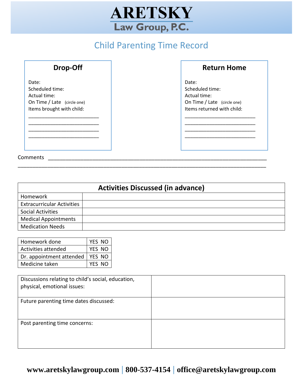

# Child Parenting Time Record

| Drop-Off |  |
|----------|--|
|----------|--|

Date: Scheduled time: Actual time: On Time / Late (circle one) Items brought with child: \_\_\_\_\_\_\_\_\_\_\_\_\_\_\_\_\_\_\_\_\_\_\_\_\_\_

\_\_\_\_\_\_\_\_\_\_\_\_\_\_\_\_\_\_\_\_\_\_\_\_\_\_ \_\_\_\_\_\_\_\_\_\_\_\_\_\_\_\_\_\_\_\_\_\_\_\_\_\_

## Comments \_\_\_\_\_\_\_\_\_\_\_\_\_\_\_\_\_\_\_\_\_\_\_\_\_\_\_\_\_\_\_\_\_\_\_\_\_\_\_\_\_\_\_\_\_\_\_\_\_\_\_\_\_\_\_\_\_\_\_\_\_\_\_\_\_\_\_\_\_\_\_\_\_\_

**Return Home**

Date: Scheduled time: Actual time: On Time / Late (circle one) Items returned with child:

\_\_\_\_\_\_\_\_\_\_\_\_\_\_\_\_\_\_\_\_\_\_\_\_\_\_

\_\_\_\_\_\_\_\_\_\_\_\_\_\_\_\_\_\_\_\_\_\_\_\_\_\_

| <b>Activities Discussed (in advance)</b> |  |  |
|------------------------------------------|--|--|
| Homework                                 |  |  |
| <b>Extracurricular Activities</b>        |  |  |
| <b>Social Activities</b>                 |  |  |
| <b>Medical Appointments</b>              |  |  |
| <b>Medication Needs</b>                  |  |  |

\_\_\_\_\_\_\_\_\_\_\_\_\_\_\_\_\_\_\_\_\_\_\_\_\_\_\_\_\_\_\_\_\_\_\_\_\_\_\_\_\_\_\_\_\_\_\_\_\_\_\_\_\_\_\_\_\_\_\_\_\_\_\_\_\_\_\_\_\_\_\_\_\_\_\_\_\_\_\_\_\_\_\_\_

| Homework done            | YES NO |
|--------------------------|--------|
| Activities attended      | YES NO |
| Dr. appointment attended | YFS NO |
| Medicine taken           | YFS NO |

| Discussions relating to child's social, education,<br>physical, emotional issues: |  |
|-----------------------------------------------------------------------------------|--|
|                                                                                   |  |
| Future parenting time dates discussed:                                            |  |
| Post parenting time concerns:                                                     |  |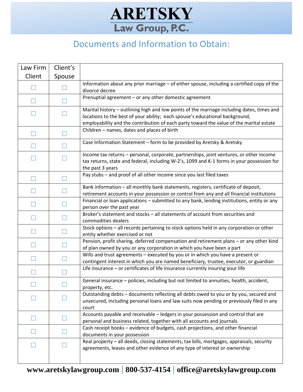# **ARETSKY** Law Group, P.C.

# Documents and Information to Obtain:

| Law Firm | Client's |                                                                                                                                                                                                                                                                       |
|----------|----------|-----------------------------------------------------------------------------------------------------------------------------------------------------------------------------------------------------------------------------------------------------------------------|
| Client   | Spouse   |                                                                                                                                                                                                                                                                       |
|          |          | Information about any prior marriage - of either spouse, including a certified copy of the<br>divorce decree                                                                                                                                                          |
| H        |          | Prenuptial agreement - or any other domestic agreement                                                                                                                                                                                                                |
|          |          | Marital history - outlining high and low points of the marriage including dates, times and<br>locations to the best of your ability; each spouse's educational background,<br>employability and the contribution of each party toward the value of the marital estate |
|          |          | Children - names, dates and places of birth                                                                                                                                                                                                                           |
|          |          | Case Information Statement - form to be provided by Aretsky & Aretsky                                                                                                                                                                                                 |
|          |          | Income tax returns - personal, corporate, partnerships, joint ventures, or other income<br>tax returns, state and federal, including W-2's, 1099 and K-1 forms in your possession for<br>the past 3 years                                                             |
|          |          | Pay stubs - and proof of all other income since you last filed taxes                                                                                                                                                                                                  |
|          |          | Bank information - all monthly bank statements, registers, certificate of deposit,<br>retirement accounts in your possession or control from any and all financial institutions                                                                                       |
|          |          | Financial or loan applications - submitted to any bank, lending institutions, entity or any<br>person over the past year                                                                                                                                              |
|          |          | Broker's statement and stocks - all statements of account from securities and<br>commodities dealers                                                                                                                                                                  |
|          |          | Stock options - all records pertaining to stock options held in any corporation or other<br>entity whether exercised or not                                                                                                                                           |
|          |          | Pension, profit sharing, deferred compensation and retirement plans - or any other kind<br>of plan owned by you or any corporation in which you have been a part                                                                                                      |
|          |          | Wills and trust agreements - executed by you or in which you have a present or<br>contingent interest in which you are named beneficiary, trustee, executor, or guardian                                                                                              |
|          |          | Life insurance - or certificates of life insurance currently insuring your life                                                                                                                                                                                       |
|          |          | General insurance - policies, including but not limited to annuities, health, accident,<br>property, etc.                                                                                                                                                             |
|          |          | Outstanding debts - documents reflecting all debts owed to you or by you, secured and<br>unsecured, including personal loans and law suits now pending or previously filed in any<br>court                                                                            |
|          |          | Accounts payable and receivable - ledgers in your possession and control that are<br>personal and business related, together with all accounts and journals                                                                                                           |
|          |          | Cash receipt books - evidence of budgets, cash projections, and other financial<br>documents in your possession                                                                                                                                                       |
|          |          | Real property - all deeds, closing statements, tax bills, mortgages, appraisals, security<br>agreements, leases and other evidence of any type of interest or ownership                                                                                               |
|          |          |                                                                                                                                                                                                                                                                       |